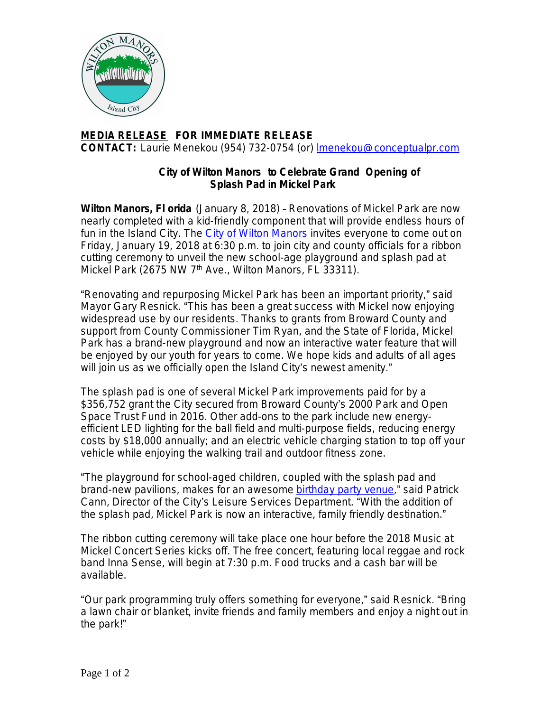

## **MEDIA RELEASE FOR IMMEDIATE RELEASE CONTACT:** Laurie Menekou (954) 732-0754 (or) [lmenekou@conceptualpr.com](mailto:lmenekou@conceptualpr.com)

## **City of Wilton Manors to Celebrate Grand Opening of Splash Pad in Mickel Park**

**Wilton Manors, Fl orida** (January 8, 2018) – Renovations of Mickel Park are now nearly completed with a kid-friendly component that will provide endless hours of fun in the Island City. The [City of Wilton Manors](http://www.wiltonmanors.com/) invites everyone to come out on Friday, January 19, 2018 at 6:30 p.m. to join city and county officials for a ribbon cutting ceremony to unveil the new school-age playground and splash pad at Mickel Park (2675 NW 7<sup>th</sup> Ave., Wilton Manors, FL 33311).

"Renovating and repurposing Mickel Park has been an important priority," said Mayor Gary Resnick. "This has been a great success with Mickel now enjoying widespread use by our residents. Thanks to grants from Broward County and support from County Commissioner Tim Ryan, and the State of Florida, Mickel Park has a brand-new playground and now an interactive water feature that will be enjoyed by our youth for years to come. We hope kids and adults of all ages will join us as we officially open the Island City's newest amenity."

The splash pad is one of several Mickel Park improvements paid for by a \$356,752 grant the City secured from Broward County's 2000 Park and Open Space Trust Fund in 2016. Other add-ons to the park include new energyefficient LED lighting for the ball field and multi-purpose fields, reducing energy costs by \$18,000 annually; and an electric vehicle charging station to top off your vehicle while enjoying the walking trail and outdoor fitness zone.

"The playground for school-aged children, coupled with the splash pad and brand-new pavilions, makes for an awesome [birthday party venue,](http://bit.ly/MickelPark)" said Patrick Cann, Director of the City's Leisure Services Department. "With the addition of the splash pad, Mickel Park is now an interactive, family friendly destination."

The ribbon cutting ceremony will take place one hour before the 2018 Music at Mickel Concert Series kicks off. The free concert, featuring local reggae and rock band Inna Sense, will begin at 7:30 p.m. Food trucks and a cash bar will be available.

"Our park programming truly offers something for everyone," said Resnick. "Bring a lawn chair or blanket, invite friends and family members and enjoy a night out in the park!"